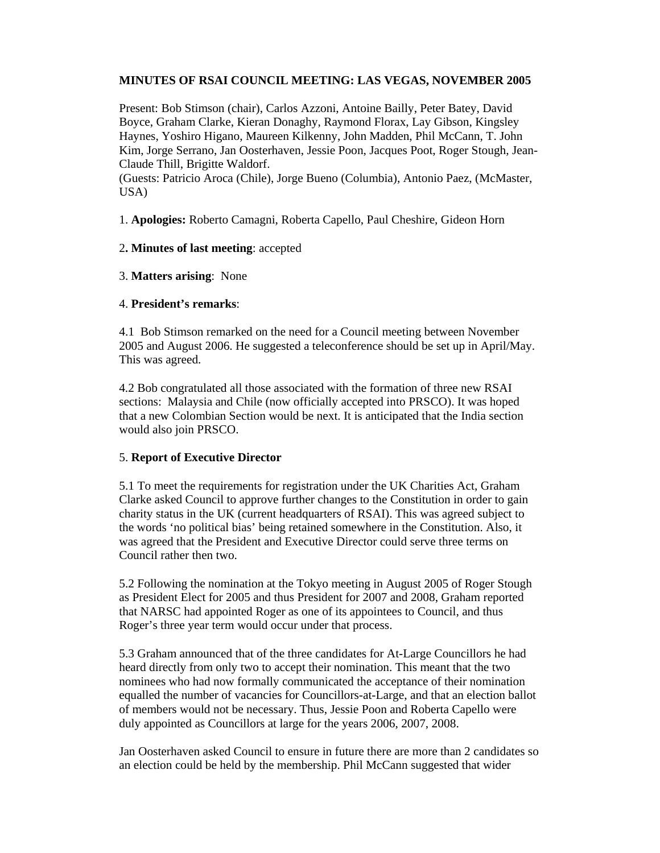# **MINUTES OF RSAI COUNCIL MEETING: LAS VEGAS, NOVEMBER 2005**

Present: Bob Stimson (chair), Carlos Azzoni, Antoine Bailly, Peter Batey, David Boyce, Graham Clarke, Kieran Donaghy, Raymond Florax, Lay Gibson, Kingsley Haynes, Yoshiro Higano, Maureen Kilkenny, John Madden, Phil McCann, T. John Kim, Jorge Serrano, Jan Oosterhaven, Jessie Poon, Jacques Poot, Roger Stough, Jean-Claude Thill, Brigitte Waldorf.

(Guests: Patricio Aroca (Chile), Jorge Bueno (Columbia), Antonio Paez, (McMaster, USA)

1. **Apologies:** Roberto Camagni, Roberta Capello, Paul Cheshire, Gideon Horn

# 2**. Minutes of last meeting**: accepted

# 3. **Matters arising**: None

# 4. **President's remarks**:

4.1 Bob Stimson remarked on the need for a Council meeting between November 2005 and August 2006. He suggested a teleconference should be set up in April/May. This was agreed.

4.2 Bob congratulated all those associated with the formation of three new RSAI sections: Malaysia and Chile (now officially accepted into PRSCO). It was hoped that a new Colombian Section would be next. It is anticipated that the India section would also join PRSCO.

# 5. **Report of Executive Director**

5.1 To meet the requirements for registration under the UK Charities Act, Graham Clarke asked Council to approve further changes to the Constitution in order to gain charity status in the UK (current headquarters of RSAI). This was agreed subject to the words 'no political bias' being retained somewhere in the Constitution. Also, it was agreed that the President and Executive Director could serve three terms on Council rather then two.

5.2 Following the nomination at the Tokyo meeting in August 2005 of Roger Stough as President Elect for 2005 and thus President for 2007 and 2008, Graham reported that NARSC had appointed Roger as one of its appointees to Council, and thus Roger's three year term would occur under that process.

5.3 Graham announced that of the three candidates for At-Large Councillors he had heard directly from only two to accept their nomination. This meant that the two nominees who had now formally communicated the acceptance of their nomination equalled the number of vacancies for Councillors-at-Large, and that an election ballot of members would not be necessary. Thus, Jessie Poon and Roberta Capello were duly appointed as Councillors at large for the years 2006, 2007, 2008.

Jan Oosterhaven asked Council to ensure in future there are more than 2 candidates so an election could be held by the membership. Phil McCann suggested that wider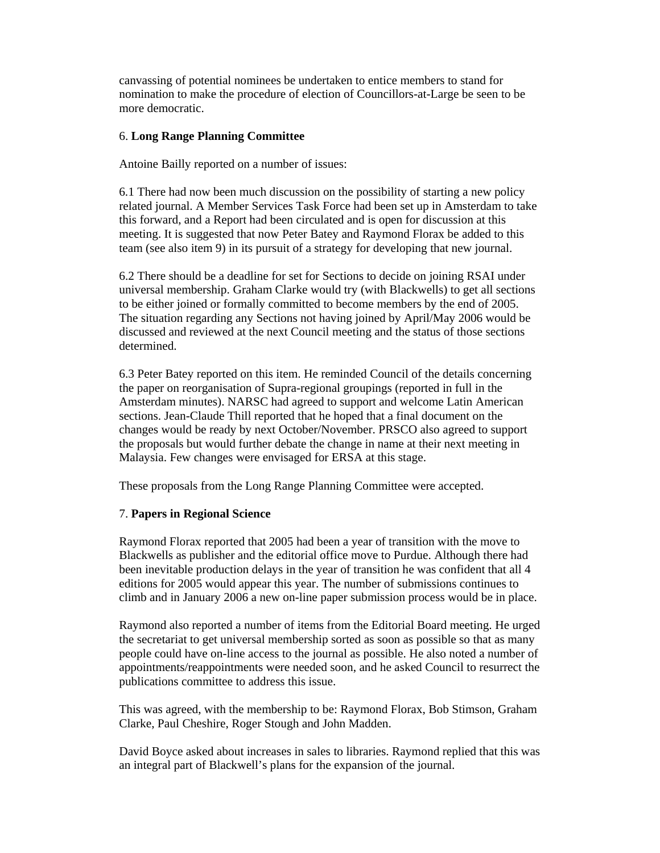canvassing of potential nominees be undertaken to entice members to stand for nomination to make the procedure of election of Councillors-at-Large be seen to be more democratic.

### 6. **Long Range Planning Committee**

Antoine Bailly reported on a number of issues:

6.1 There had now been much discussion on the possibility of starting a new policy related journal. A Member Services Task Force had been set up in Amsterdam to take this forward, and a Report had been circulated and is open for discussion at this meeting. It is suggested that now Peter Batey and Raymond Florax be added to this team (see also item 9) in its pursuit of a strategy for developing that new journal.

6.2 There should be a deadline for set for Sections to decide on joining RSAI under universal membership. Graham Clarke would try (with Blackwells) to get all sections to be either joined or formally committed to become members by the end of 2005. The situation regarding any Sections not having joined by April/May 2006 would be discussed and reviewed at the next Council meeting and the status of those sections determined.

6.3 Peter Batey reported on this item. He reminded Council of the details concerning the paper on reorganisation of Supra-regional groupings (reported in full in the Amsterdam minutes). NARSC had agreed to support and welcome Latin American sections. Jean-Claude Thill reported that he hoped that a final document on the changes would be ready by next October/November. PRSCO also agreed to support the proposals but would further debate the change in name at their next meeting in Malaysia. Few changes were envisaged for ERSA at this stage.

These proposals from the Long Range Planning Committee were accepted.

#### 7. **Papers in Regional Science**

Raymond Florax reported that 2005 had been a year of transition with the move to Blackwells as publisher and the editorial office move to Purdue. Although there had been inevitable production delays in the year of transition he was confident that all 4 editions for 2005 would appear this year. The number of submissions continues to climb and in January 2006 a new on-line paper submission process would be in place.

Raymond also reported a number of items from the Editorial Board meeting. He urged the secretariat to get universal membership sorted as soon as possible so that as many people could have on-line access to the journal as possible. He also noted a number of appointments/reappointments were needed soon, and he asked Council to resurrect the publications committee to address this issue.

This was agreed, with the membership to be: Raymond Florax, Bob Stimson, Graham Clarke, Paul Cheshire, Roger Stough and John Madden.

David Boyce asked about increases in sales to libraries. Raymond replied that this was an integral part of Blackwell's plans for the expansion of the journal.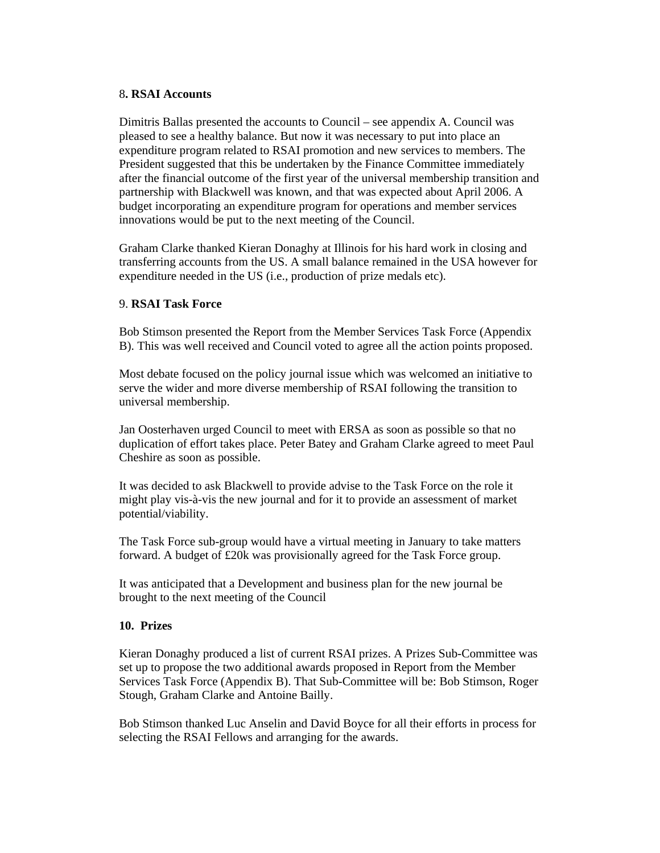# 8**. RSAI Accounts**

Dimitris Ballas presented the accounts to Council – see appendix A. Council was pleased to see a healthy balance. But now it was necessary to put into place an expenditure program related to RSAI promotion and new services to members. The President suggested that this be undertaken by the Finance Committee immediately after the financial outcome of the first year of the universal membership transition and partnership with Blackwell was known, and that was expected about April 2006. A budget incorporating an expenditure program for operations and member services innovations would be put to the next meeting of the Council.

Graham Clarke thanked Kieran Donaghy at Illinois for his hard work in closing and transferring accounts from the US. A small balance remained in the USA however for expenditure needed in the US (i.e., production of prize medals etc).

# 9. **RSAI Task Force**

Bob Stimson presented the Report from the Member Services Task Force (Appendix B). This was well received and Council voted to agree all the action points proposed.

Most debate focused on the policy journal issue which was welcomed an initiative to serve the wider and more diverse membership of RSAI following the transition to universal membership.

Jan Oosterhaven urged Council to meet with ERSA as soon as possible so that no duplication of effort takes place. Peter Batey and Graham Clarke agreed to meet Paul Cheshire as soon as possible.

It was decided to ask Blackwell to provide advise to the Task Force on the role it might play vis-à-vis the new journal and for it to provide an assessment of market potential/viability.

The Task Force sub-group would have a virtual meeting in January to take matters forward. A budget of £20k was provisionally agreed for the Task Force group.

It was anticipated that a Development and business plan for the new journal be brought to the next meeting of the Council

# **10. Prizes**

Kieran Donaghy produced a list of current RSAI prizes. A Prizes Sub-Committee was set up to propose the two additional awards proposed in Report from the Member Services Task Force (Appendix B). That Sub-Committee will be: Bob Stimson, Roger Stough, Graham Clarke and Antoine Bailly.

Bob Stimson thanked Luc Anselin and David Boyce for all their efforts in process for selecting the RSAI Fellows and arranging for the awards.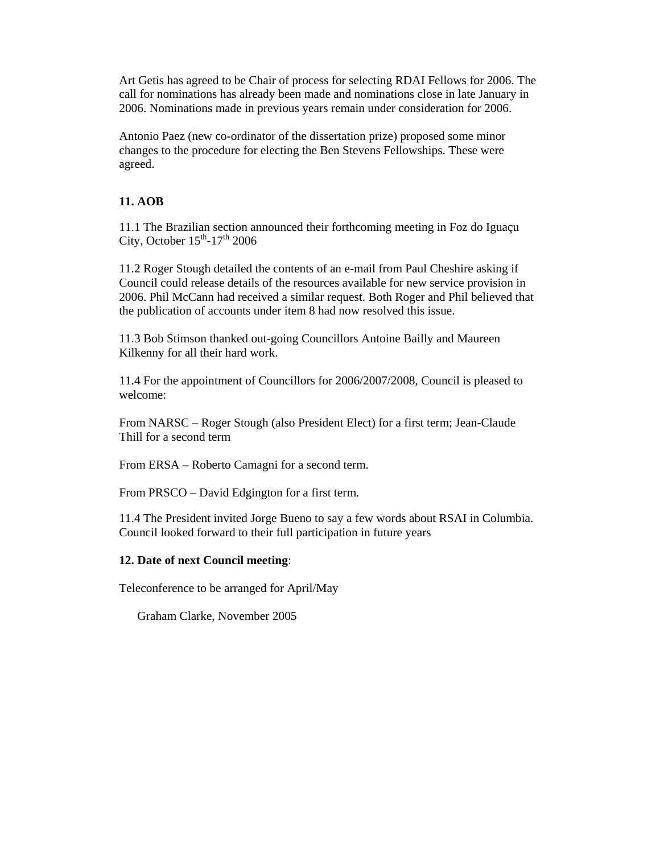Art Getis has agreed to be Chair of process for selecting RDAI Fellows for 2006. The call for nominations has already been made and nominations close in late January in 2006. Nominations made in previous years remain under consideration for 2006.

Antonio Paez (new co-ordinator of the dissertation prize) proposed some minor changes to the procedure for electing the Ben Stevens Fellowships. These were agreed.

# **11. AOB**

11.1 The Brazilian section announced their forthcoming meeting in Foz do Iguaçu City, October  $15<sup>th</sup> - 17<sup>th</sup>$  2006

11.2 Roger Stough detailed the contents of an e-mail from Paul Cheshire asking if Council could release details of the resources available for new service provision in 2006. Phil McCann had received a similar request. Both Roger and Phil believed that the publication of accounts under item 8 had now resolved this issue.

11.3 Bob Stimson thanked out-going Councillors Antoine Bailly and Maureen Kilkenny for all their hard work.

11.4 For the appointment of Councillors for 2006/2007/2008, Council is pleased to welcome:

From NARSC – Roger Stough (also President Elect) for a first term; Jean-Claude Thill for a second term

From ERSA – Roberto Camagni for a second term.

From PRSCO – David Edgington for a first term.

11.4 The President invited Jorge Bueno to say a few words about RSAI in Columbia. Council looked forward to their full participation in future years

# **12. Date of next Council meeting**:

Teleconference to be arranged for April/May

Graham Clarke, November 2005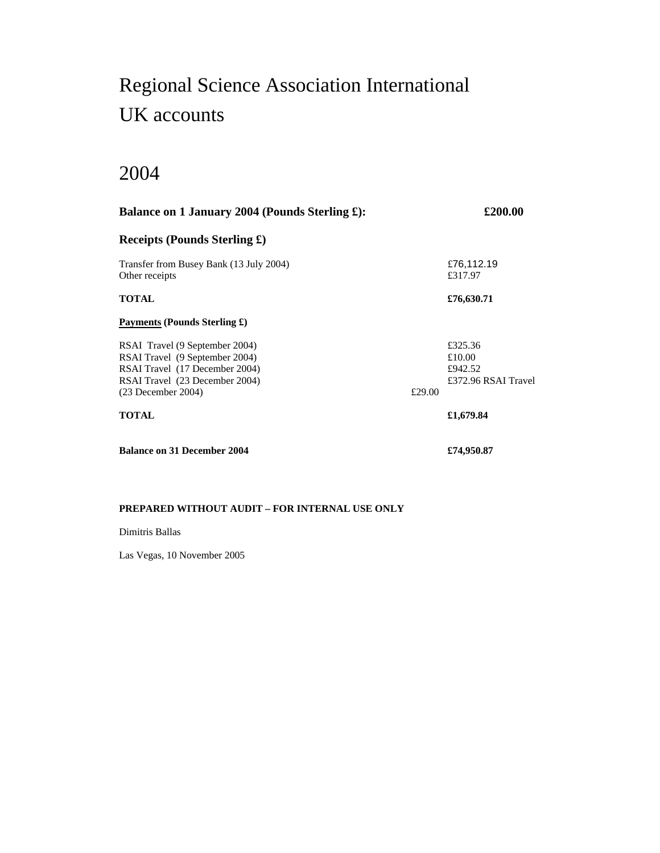# Regional Science Association International UK accounts

# 2004

| Balance on 1 January 2004 (Pounds Sterling £):                                                                                                               |        | £200.00                                             |
|--------------------------------------------------------------------------------------------------------------------------------------------------------------|--------|-----------------------------------------------------|
| Receipts (Pounds Sterling $\pounds$ )                                                                                                                        |        |                                                     |
| Transfer from Busey Bank (13 July 2004)<br>Other receipts                                                                                                    |        | £76,112.19<br>£317.97                               |
| <b>TOTAL</b>                                                                                                                                                 |        | £76,630.71                                          |
| Payments (Pounds Sterling £)                                                                                                                                 |        |                                                     |
| RSAI Travel (9 September 2004)<br>RSAI Travel (9 September 2004)<br>RSAI Travel (17 December 2004)<br>RSAI Travel (23 December 2004)<br>$(23$ December 2004) | £29.00 | £325.36<br>£10.00<br>£942.52<br>£372.96 RSAI Travel |
| TOTAL                                                                                                                                                        |        | £1,679.84                                           |
| <b>Balance on 31 December 2004</b>                                                                                                                           |        | £74,950.87                                          |

#### **PREPARED WITHOUT AUDIT – FOR INTERNAL USE ONLY**

#### Dimitris Ballas

Las Vegas, 10 November 2005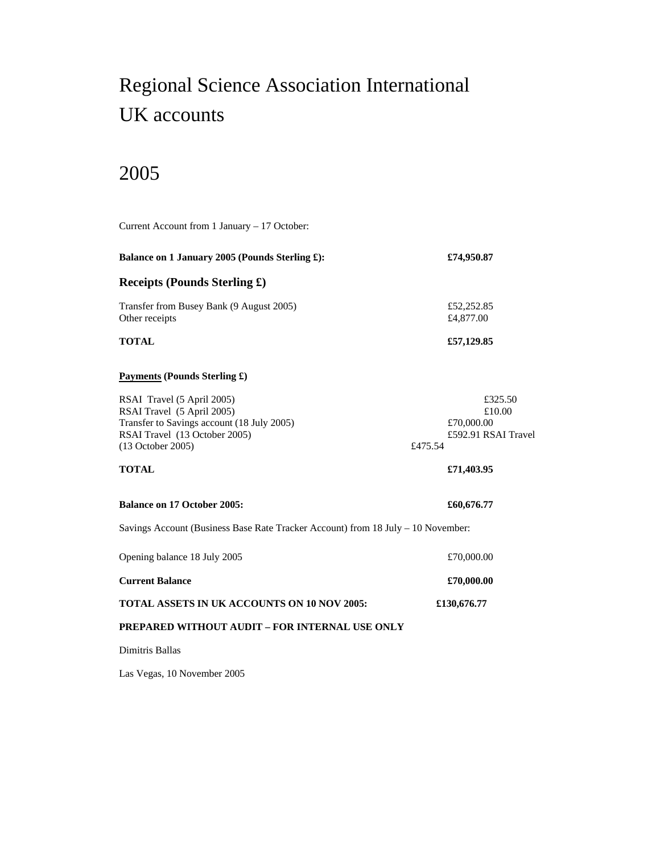# Regional Science Association International UK accounts

# 2005

| Current Account from 1 January - 17 October:                                                                                                                 |                                                                   |  |
|--------------------------------------------------------------------------------------------------------------------------------------------------------------|-------------------------------------------------------------------|--|
| Balance on 1 January 2005 (Pounds Sterling £):                                                                                                               | £74,950.87                                                        |  |
| <b>Receipts (Pounds Sterling £)</b>                                                                                                                          |                                                                   |  |
| Transfer from Busey Bank (9 August 2005)<br>Other receipts                                                                                                   | £52,252.85<br>£4,877.00                                           |  |
| <b>TOTAL</b>                                                                                                                                                 | £57,129.85                                                        |  |
| <b>Payments (Pounds Sterling £)</b>                                                                                                                          |                                                                   |  |
| RSAI Travel (5 April 2005)<br>RSAI Travel (5 April 2005)<br>Transfer to Savings account (18 July 2005)<br>RSAI Travel (13 October 2005)<br>(13 October 2005) | £325.50<br>£10.00<br>£70,000.00<br>£592.91 RSAI Travel<br>£475.54 |  |
| <b>TOTAL</b>                                                                                                                                                 | £71,403.95                                                        |  |
| <b>Balance on 17 October 2005:</b>                                                                                                                           | £60,676.77                                                        |  |
| Savings Account (Business Base Rate Tracker Account) from 18 July - 10 November:                                                                             |                                                                   |  |
| Opening balance 18 July 2005                                                                                                                                 | £70,000.00                                                        |  |
| <b>Current Balance</b>                                                                                                                                       | £70,000.00                                                        |  |
| <b>TOTAL ASSETS IN UK ACCOUNTS ON 10 NOV 2005:</b>                                                                                                           | £130,676.77                                                       |  |
| PREPARED WITHOUT AUDIT - FOR INTERNAL USE ONLY                                                                                                               |                                                                   |  |
| Dimitris Ballas                                                                                                                                              |                                                                   |  |
|                                                                                                                                                              |                                                                   |  |

Las Vegas, 10 November 2005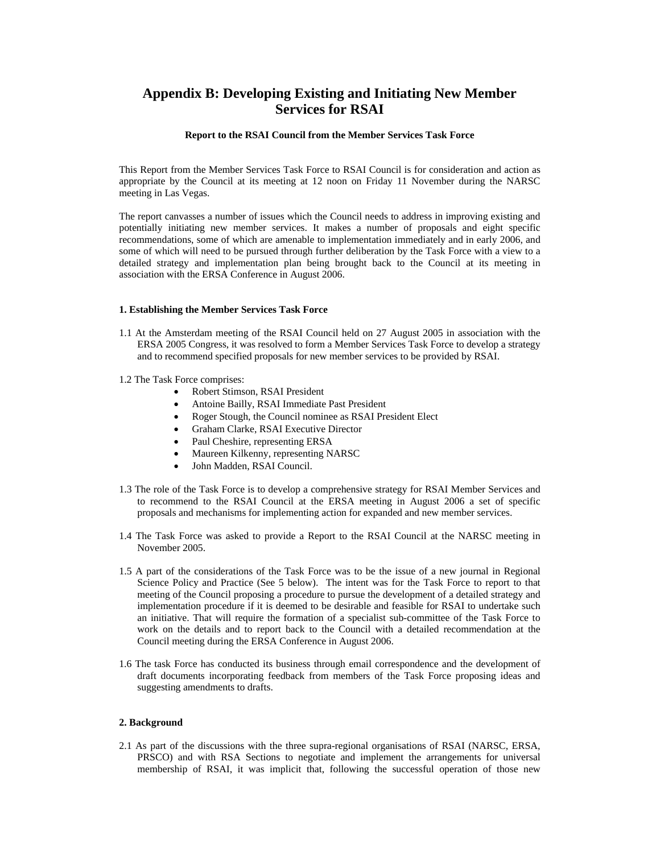# **Appendix B: Developing Existing and Initiating New Member Services for RSAI**

#### **Report to the RSAI Council from the Member Services Task Force**

This Report from the Member Services Task Force to RSAI Council is for consideration and action as appropriate by the Council at its meeting at 12 noon on Friday 11 November during the NARSC meeting in Las Vegas.

The report canvasses a number of issues which the Council needs to address in improving existing and potentially initiating new member services. It makes a number of proposals and eight specific recommendations, some of which are amenable to implementation immediately and in early 2006, and some of which will need to be pursued through further deliberation by the Task Force with a view to a detailed strategy and implementation plan being brought back to the Council at its meeting in association with the ERSA Conference in August 2006.

#### **1. Establishing the Member Services Task Force**

- 1.1 At the Amsterdam meeting of the RSAI Council held on 27 August 2005 in association with the ERSA 2005 Congress, it was resolved to form a Member Services Task Force to develop a strategy and to recommend specified proposals for new member services to be provided by RSAI.
- 1.2 The Task Force comprises:
	- Robert Stimson, RSAI President
	- Antoine Bailly, RSAI Immediate Past President
	- Roger Stough, the Council nominee as RSAI President Elect
	- Graham Clarke, RSAI Executive Director
	- Paul Cheshire, representing ERSA
	- Maureen Kilkenny, representing NARSC
	- John Madden, RSAI Council.
- 1.3 The role of the Task Force is to develop a comprehensive strategy for RSAI Member Services and to recommend to the RSAI Council at the ERSA meeting in August 2006 a set of specific proposals and mechanisms for implementing action for expanded and new member services.
- 1.4 The Task Force was asked to provide a Report to the RSAI Council at the NARSC meeting in November 2005.
- 1.5 A part of the considerations of the Task Force was to be the issue of a new journal in Regional Science Policy and Practice (See 5 below). The intent was for the Task Force to report to that meeting of the Council proposing a procedure to pursue the development of a detailed strategy and implementation procedure if it is deemed to be desirable and feasible for RSAI to undertake such an initiative. That will require the formation of a specialist sub-committee of the Task Force to work on the details and to report back to the Council with a detailed recommendation at the Council meeting during the ERSA Conference in August 2006.
- 1.6 The task Force has conducted its business through email correspondence and the development of draft documents incorporating feedback from members of the Task Force proposing ideas and suggesting amendments to drafts.

#### **2. Background**

2.1 As part of the discussions with the three supra-regional organisations of RSAI (NARSC, ERSA, PRSCO) and with RSA Sections to negotiate and implement the arrangements for universal membership of RSAI, it was implicit that, following the successful operation of those new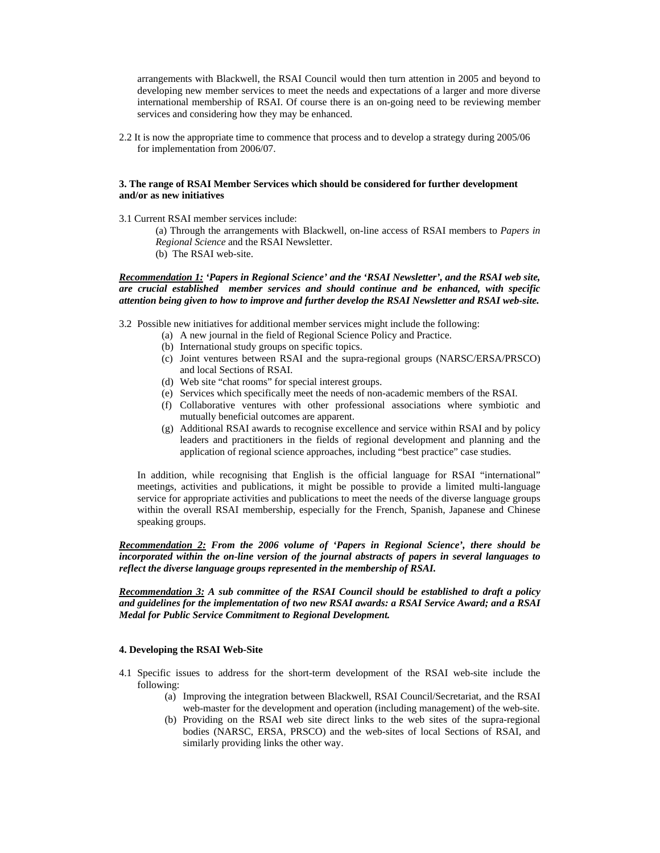arrangements with Blackwell, the RSAI Council would then turn attention in 2005 and beyond to developing new member services to meet the needs and expectations of a larger and more diverse international membership of RSAI. Of course there is an on-going need to be reviewing member services and considering how they may be enhanced.

2.2 It is now the appropriate time to commence that process and to develop a strategy during 2005/06 for implementation from 2006/07.

#### **3. The range of RSAI Member Services which should be considered for further development and/or as new initiatives**

3.1 Current RSAI member services include:

(a) Through the arrangements with Blackwell, on-line access of RSAI members to *Papers in Regional Science* and the RSAI Newsletter.

(b) The RSAI web-site.

*Recommendation 1: 'Papers in Regional Science' and the 'RSAI Newsletter', and the RSAI web site, are crucial established member services and should continue and be enhanced, with specific attention being given to how to improve and further develop the RSAI Newsletter and RSAI web-site.* 

3.2 Possible new initiatives for additional member services might include the following:

- (a) A new journal in the field of Regional Science Policy and Practice.
- (b) International study groups on specific topics.
- (c) Joint ventures between RSAI and the supra-regional groups (NARSC/ERSA/PRSCO) and local Sections of RSAI.
- (d) Web site "chat rooms" for special interest groups.
- (e) Services which specifically meet the needs of non-academic members of the RSAI.
- (f) Collaborative ventures with other professional associations where symbiotic and mutually beneficial outcomes are apparent.
- (g) Additional RSAI awards to recognise excellence and service within RSAI and by policy leaders and practitioners in the fields of regional development and planning and the application of regional science approaches, including "best practice" case studies.

In addition, while recognising that English is the official language for RSAI "international" meetings, activities and publications, it might be possible to provide a limited multi-language service for appropriate activities and publications to meet the needs of the diverse language groups within the overall RSAI membership, especially for the French, Spanish, Japanese and Chinese speaking groups.

*Recommendation 2: From the 2006 volume of 'Papers in Regional Science', there should be incorporated within the on-line version of the journal abstracts of papers in several languages to reflect the diverse language groups represented in the membership of RSAI.* 

*Recommendation 3: A sub committee of the RSAI Council should be established to draft a policy and guidelines for the implementation of two new RSAI awards: a RSAI Service Award; and a RSAI Medal for Public Service Commitment to Regional Development.* 

#### **4. Developing the RSAI Web-Site**

- 4.1 Specific issues to address for the short-term development of the RSAI web-site include the following:
	- (a) Improving the integration between Blackwell, RSAI Council/Secretariat, and the RSAI web-master for the development and operation (including management) of the web-site.
	- (b) Providing on the RSAI web site direct links to the web sites of the supra-regional bodies (NARSC, ERSA, PRSCO) and the web-sites of local Sections of RSAI, and similarly providing links the other way.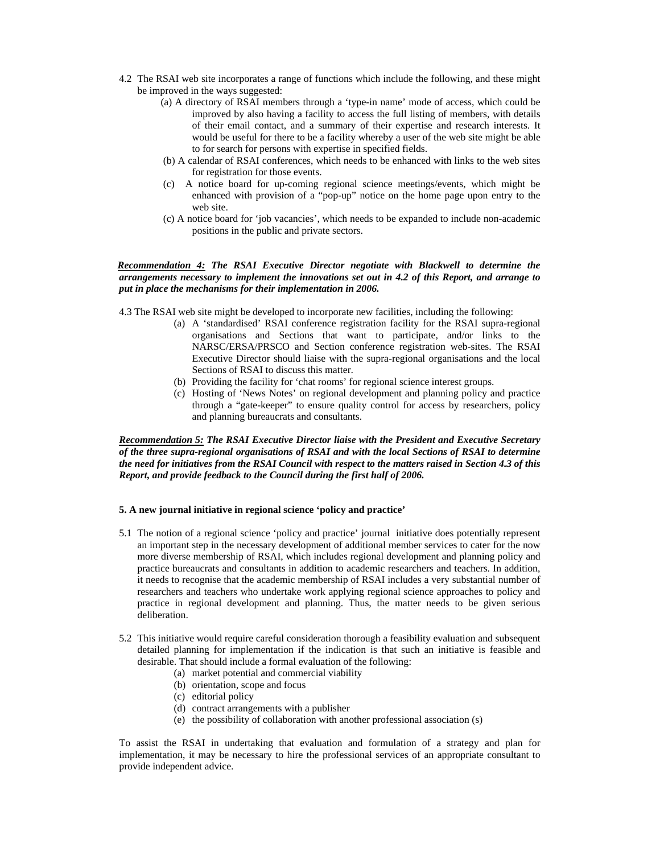- 4.2 The RSAI web site incorporates a range of functions which include the following, and these might be improved in the ways suggested:
	- (a) A directory of RSAI members through a 'type-in name' mode of access, which could be improved by also having a facility to access the full listing of members, with details of their email contact, and a summary of their expertise and research interests. It would be useful for there to be a facility whereby a user of the web site might be able to for search for persons with expertise in specified fields.
	- (b) A calendar of RSAI conferences, which needs to be enhanced with links to the web sites for registration for those events.
	- (c) A notice board for up-coming regional science meetings/events, which might be enhanced with provision of a "pop-up" notice on the home page upon entry to the web site.
	- (c) A notice board for 'job vacancies', which needs to be expanded to include non-academic positions in the public and private sectors.

#### *Recommendation 4: The RSAI Executive Director negotiate with Blackwell to determine the arrangements necessary to implement the innovations set out in 4.2 of this Report, and arrange to put in place the mechanisms for their implementation in 2006.*

4.3 The RSAI web site might be developed to incorporate new facilities, including the following:

- (a) A 'standardised' RSAI conference registration facility for the RSAI supra-regional organisations and Sections that want to participate, and/or links to the NARSC/ERSA/PRSCO and Section conference registration web-sites. The RSAI Executive Director should liaise with the supra-regional organisations and the local Sections of RSAI to discuss this matter.
- (b) Providing the facility for 'chat rooms' for regional science interest groups.
- (c) Hosting of 'News Notes' on regional development and planning policy and practice through a "gate-keeper" to ensure quality control for access by researchers, policy and planning bureaucrats and consultants.

*Recommendation 5: The RSAI Executive Director liaise with the President and Executive Secretary of the three supra-regional organisations of RSAI and with the local Sections of RSAI to determine the need for initiatives from the RSAI Council with respect to the matters raised in Section 4.3 of this Report, and provide feedback to the Council during the first half of 2006.* 

#### **5. A new journal initiative in regional science 'policy and practice'**

- 5.1 The notion of a regional science 'policy and practice' journal initiative does potentially represent an important step in the necessary development of additional member services to cater for the now more diverse membership of RSAI, which includes regional development and planning policy and practice bureaucrats and consultants in addition to academic researchers and teachers. In addition, it needs to recognise that the academic membership of RSAI includes a very substantial number of researchers and teachers who undertake work applying regional science approaches to policy and practice in regional development and planning. Thus, the matter needs to be given serious deliberation.
- 5.2 This initiative would require careful consideration thorough a feasibility evaluation and subsequent detailed planning for implementation if the indication is that such an initiative is feasible and desirable. That should include a formal evaluation of the following:
	- (a) market potential and commercial viability
	- (b) orientation, scope and focus
	- (c) editorial policy
	- (d) contract arrangements with a publisher
	- (e) the possibility of collaboration with another professional association (s)

To assist the RSAI in undertaking that evaluation and formulation of a strategy and plan for implementation, it may be necessary to hire the professional services of an appropriate consultant to provide independent advice.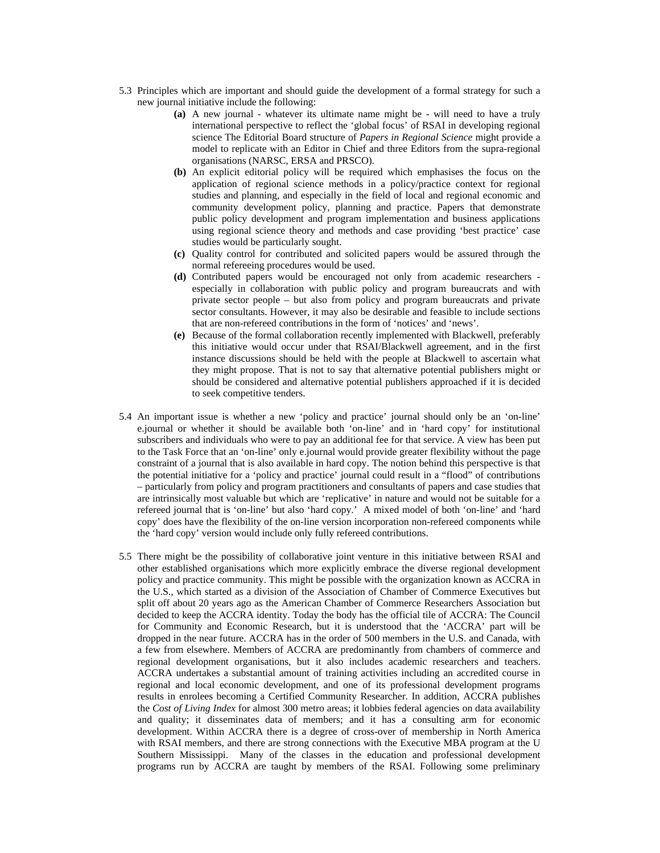- 5.3 Principles which are important and should guide the development of a formal strategy for such a new journal initiative include the following:
	- **(a)** A new journal whatever its ultimate name might be will need to have a truly international perspective to reflect the 'global focus' of RSAI in developing regional science The Editorial Board structure of *Papers in Regional Science* might provide a model to replicate with an Editor in Chief and three Editors from the supra-regional organisations (NARSC, ERSA and PRSCO).
	- **(b)** An explicit editorial policy will be required which emphasises the focus on the application of regional science methods in a policy/practice context for regional studies and planning, and especially in the field of local and regional economic and community development policy, planning and practice. Papers that demonstrate public policy development and program implementation and business applications using regional science theory and methods and case providing 'best practice' case studies would be particularly sought.
	- **(c)** Quality control for contributed and solicited papers would be assured through the normal refereeing procedures would be used.
	- **(d)** Contributed papers would be encouraged not only from academic researchers especially in collaboration with public policy and program bureaucrats and with private sector people – but also from policy and program bureaucrats and private sector consultants. However, it may also be desirable and feasible to include sections that are non-refereed contributions in the form of 'notices' and 'news'.
	- **(e)** Because of the formal collaboration recently implemented with Blackwell, preferably this initiative would occur under that RSAI/Blackwell agreement, and in the first instance discussions should be held with the people at Blackwell to ascertain what they might propose. That is not to say that alternative potential publishers might or should be considered and alternative potential publishers approached if it is decided to seek competitive tenders.
- 5.4 An important issue is whether a new 'policy and practice' journal should only be an 'on-line' e.journal or whether it should be available both 'on-line' and in 'hard copy' for institutional subscribers and individuals who were to pay an additional fee for that service. A view has been put to the Task Force that an 'on-line' only e.journal would provide greater flexibility without the page constraint of a journal that is also available in hard copy. The notion behind this perspective is that the potential initiative for a 'policy and practice' journal could result in a "flood" of contributions – particularly from policy and program practitioners and consultants of papers and case studies that are intrinsically most valuable but which are 'replicative' in nature and would not be suitable for a refereed journal that is 'on-line' but also 'hard copy.' A mixed model of both 'on-line' and 'hard copy' does have the flexibility of the on-line version incorporation non-refereed components while the 'hard copy' version would include only fully refereed contributions.
- 5.5 There might be the possibility of collaborative joint venture in this initiative between RSAI and other established organisations which more explicitly embrace the diverse regional development policy and practice community. This might be possible with the organization known as ACCRA in the U.S., which started as a division of the Association of Chamber of Commerce Executives but split off about 20 years ago as the American Chamber of Commerce Researchers Association but decided to keep the ACCRA identity. Today the body has the official tile of ACCRA: The Council for Community and Economic Research, but it is understood that the 'ACCRA' part will be dropped in the near future. ACCRA has in the order of 500 members in the U.S. and Canada, with a few from elsewhere. Members of ACCRA are predominantly from chambers of commerce and regional development organisations, but it also includes academic researchers and teachers. ACCRA undertakes a substantial amount of training activities including an accredited course in regional and local economic development, and one of its professional development programs results in enrolees becoming a Certified Community Researcher. In addition, ACCRA publishes the *Cost of Living Index* for almost 300 metro areas; it lobbies federal agencies on data availability and quality; it disseminates data of members; and it has a consulting arm for economic development. Within ACCRA there is a degree of cross-over of membership in North America with RSAI members, and there are strong connections with the Executive MBA program at the U Southern Mississippi. Many of the classes in the education and professional development programs run by ACCRA are taught by members of the RSAI. Following some preliminary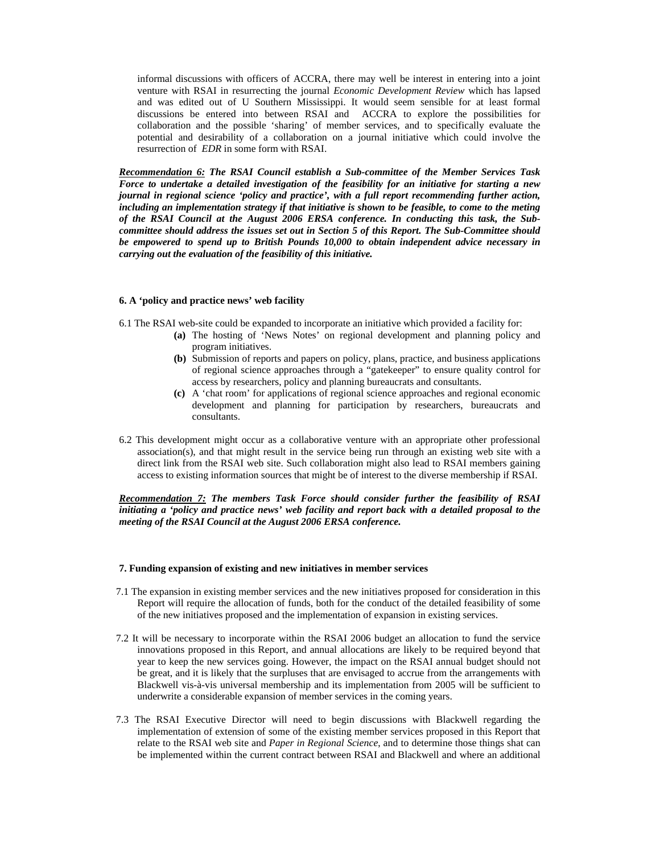informal discussions with officers of ACCRA, there may well be interest in entering into a joint venture with RSAI in resurrecting the journal *Economic Development Review* which has lapsed and was edited out of U Southern Mississippi. It would seem sensible for at least formal discussions be entered into between RSAI and ACCRA to explore the possibilities for collaboration and the possible 'sharing' of member services, and to specifically evaluate the potential and desirability of a collaboration on a journal initiative which could involve the resurrection of *EDR* in some form with RSAI.

*Recommendation 6: The RSAI Council establish a Sub-committee of the Member Services Task Force to undertake a detailed investigation of the feasibility for an initiative for starting a new journal in regional science 'policy and practice', with a full report recommending further action, including an implementation strategy if that initiative is shown to be feasible, to come to the meting of the RSAI Council at the August 2006 ERSA conference. In conducting this task, the Subcommittee should address the issues set out in Section 5 of this Report. The Sub-Committee should be empowered to spend up to British Pounds 10,000 to obtain independent advice necessary in carrying out the evaluation of the feasibility of this initiative.* 

#### **6. A 'policy and practice news' web facility**

- 6.1 The RSAI web-site could be expanded to incorporate an initiative which provided a facility for:
	- **(a)** The hosting of 'News Notes' on regional development and planning policy and program initiatives.
	- **(b)** Submission of reports and papers on policy, plans, practice, and business applications of regional science approaches through a "gatekeeper" to ensure quality control for access by researchers, policy and planning bureaucrats and consultants.
	- **(c)** A 'chat room' for applications of regional science approaches and regional economic development and planning for participation by researchers, bureaucrats and consultants.
- 6.2 This development might occur as a collaborative venture with an appropriate other professional association(s), and that might result in the service being run through an existing web site with a direct link from the RSAI web site. Such collaboration might also lead to RSAI members gaining access to existing information sources that might be of interest to the diverse membership if RSAI.

*Recommendation 7: The members Task Force should consider further the feasibility of RSAI initiating a 'policy and practice news' web facility and report back with a detailed proposal to the meeting of the RSAI Council at the August 2006 ERSA conference.* 

#### **7. Funding expansion of existing and new initiatives in member services**

- 7.1 The expansion in existing member services and the new initiatives proposed for consideration in this Report will require the allocation of funds, both for the conduct of the detailed feasibility of some of the new initiatives proposed and the implementation of expansion in existing services.
- 7.2 It will be necessary to incorporate within the RSAI 2006 budget an allocation to fund the service innovations proposed in this Report, and annual allocations are likely to be required beyond that year to keep the new services going. However, the impact on the RSAI annual budget should not be great, and it is likely that the surpluses that are envisaged to accrue from the arrangements with Blackwell vis-à-vis universal membership and its implementation from 2005 will be sufficient to underwrite a considerable expansion of member services in the coming years.
- 7.3 The RSAI Executive Director will need to begin discussions with Blackwell regarding the implementation of extension of some of the existing member services proposed in this Report that relate to the RSAI web site and *Paper in Regional Science*, and to determine those things shat can be implemented within the current contract between RSAI and Blackwell and where an additional